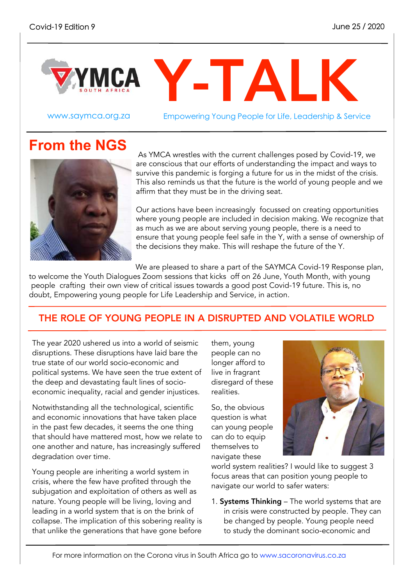

www.saymca.org.za Empowering Young People for Life, Leadership & Service

# **From the NGS**



As YMCA wrestles with the current challenges posed by Covid-19, we are conscious that our efforts of understanding the impact and ways to survive this pandemic is forging a future for us in the midst of the crisis. This also reminds us that the future is the world of young people and we affirm that they must be in the driving seat.

Our actions have been increasingly focussed on creating opportunities where young people are included in decision making. We recognize that as much as we are about serving young people, there is a need to ensure that young people feel safe in the Y, with a sense of ownership of the decisions they make. This will reshape the future of the Y.

We are pleased to share a part of the SAYMCA Covid-19 Response plan,

to welcome the Youth Dialogues Zoom sessions that kicks off on 26 June, Youth Month, with young people crafting their own view of critical issues towards a good post Covid-19 future. This is, no doubt, Empowering young people for Life Leadership and Service, in action.

## THE ROLE OF YOUNG PEOPLE IN A DISRUPTED AND VOLATILE WORLD

The year 2020 ushered us into a world of seismic disruptions. These disruptions have laid bare the true state of our world socio-economic and political systems. We have seen the true extent of the deep and devastating fault lines of socioeconomic inequality, racial and gender injustices.

Notwithstanding all the technological, scientific and economic innovations that have taken place in the past few decades, it seems the one thing that should have mattered most, how we relate to one another and nature, has increasingly suffered degradation over time.

Young people are inheriting a world system in crisis, where the few have profited through the subjugation and exploitation of others as well as nature. Young people will be living, loving and leading in a world system that is on the brink of collapse. The implication of this sobering reality is that unlike the generations that have gone before

them, young people can no longer afford to live in fragrant disregard of these realities.

So, the obvious question is what can young people can do to equip themselves to navigate these



world system realities? I would like to suggest 3 focus areas that can position young people to navigate our world to safer waters:

1. Systems Thinking – The world systems that are in crisis were constructed by people. They can be changed by people. Young people need to study the dominant socio-economic and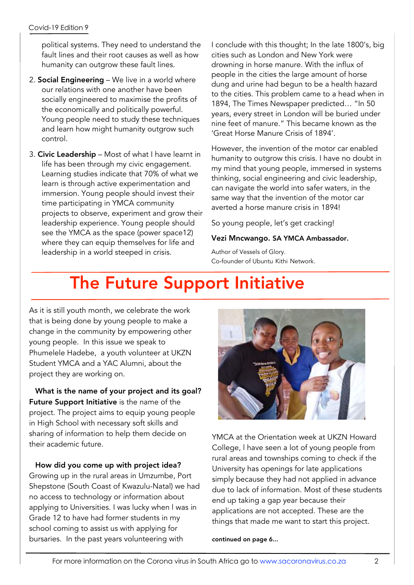political systems. They need to understand the fault lines and their root causes as well as how humanity can outgrow these fault lines.

- 2. Social Engineering We live in a world where our relations with one another have been socially engineered to maximise the profits of the economically and politically powerful. Young people need to study these techniques and learn how might humanity outgrow such control.
- 3. Civic Leadership Most of what I have learnt in life has been through my civic engagement. Learning studies indicate that 70% of what we learn is through active experimentation and immersion. Young people should invest their time participating in YMCA community projects to observe, experiment and grow their leadership experience. Young people should see the YMCA as the space (power space12) where they can equip themselves for life and leadership in a world steeped in crisis.

I conclude with this thought; In the late 1800's, big cities such as London and New York were drowning in horse manure. With the influx of people in the cities the large amount of horse dung and urine had begun to be a health hazard to the cities. This problem came to a head when in 1894, The Times Newspaper predicted… "In 50 years, every street in London will be buried under nine feet of manure." This became known as the 'Great Horse Manure Crisis of 1894'.

However, the invention of the motor car enabled humanity to outgrow this crisis. I have no doubt in my mind that young people, immersed in systems thinking, social engineering and civic leadership, can navigate the world into safer waters, in the same way that the invention of the motor car averted a horse manure crisis in 1894!

So young people, let's get cracking!

### Vezi Mncwango. SA YMCA Ambassador.

Author of Vessels of Glory. Co-founder of Ubuntu Kithi Network.

# The Future Support Initiative

As it is still youth month, we celebrate the work that is being done by young people to make a change in the community by empowering other young people. In this issue we speak to Phumelele Hadebe, a youth volunteer at UKZN Student YMCA and a YAC Alumni, about the project they are working on.

 What is the name of your project and its goal? Future Support Initiative is the name of the project. The project aims to equip young people in High School with necessary soft skills and sharing of information to help them decide on their academic future.

 How did you come up with project idea? Growing up in the rural areas in Umzumbe, Port Shepstone (South Coast of Kwazulu-Natal) we had no access to technology or information about applying to Universities. I was lucky when l was in Grade 12 to have had former students in my school coming to assist us with applying for bursaries. In the past years volunteering with



YMCA at the Orientation week at UKZN Howard College, l have seen a lot of young people from rural areas and townships coming to check if the University has openings for late applications simply because they had not applied in advance due to lack of information. Most of these students end up taking a gap year because their applications are not accepted. These are the things that made me want to start this project.

continued on page 6...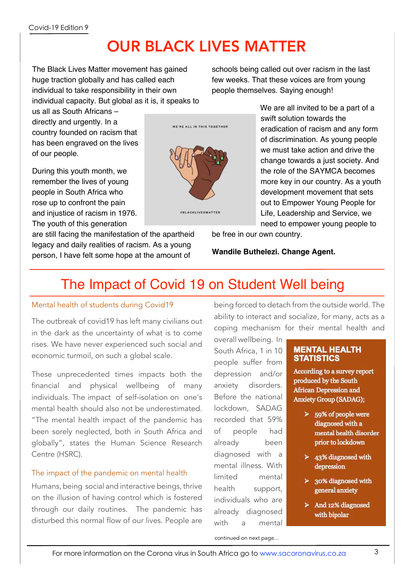# OUR BLACK LIVES MATTER

The Black Lives Matter movement has gained huge traction globally and has called each individual to take responsibility in their own individual capacity. But global as it is, it speaks to schools being called out over racism in the last few weeks. That these voices are from young people themselves. Saying enough!

us all as South Africans – directly and urgently. In a country founded on racism that has been engraved on the lives of our people.

During this youth month, we remember the lives of young people in South Africa who rose up to confront the pain and injustice of racism in 1976. The youth of this generation

are still facing the manifestation of the apartheid legacy and daily realities of racism. As a young person, I have felt some hope at the amount of



We are all invited to be a part of a swift solution towards the eradication of racism and any form of discrimination. As young people we must take action and drive the change towards a just society. And the role of the SAYMCA becomes more key in our country. As a youth development movement that sets out to Empower Young People for Life, Leadership and Service, we need to empower young people to

be free in our own country.

**Wandile Buthelezi. Change Agent.**

# The Impact of Covid 19 on Student Well being

### Mental health of students during Covid19

The outbreak of covid19 has left many civilians out in the dark as the uncertainty of what is to come rises. We have never experienced such social and economic turmoil, on such a global scale.

These unprecedented times impacts both the financial and physical wellbeing of many individuals. The impact of self-isolation on one's mental health should also not be underestimated. "The mental health impact of the pandemic has been sorely neglected, both in South Africa and globally", states the Human Science Research Centre (HSRC).

## The impact of the pandemic on mental health

Humans, being social and interactive beings, thrive on the illusion of having control which is fostered through our daily routines. The pandemic has disturbed this normal flow of our lives. People are

being forced to detach from the outside world. The ability to interact and socialize, for many, acts as a coping mechanism for their mental health and

overall wellbeing. In South Africa, 1 in 10 people suffer from depression and/or anxiety disorders. Before the national lockdown, SADAG recorded that 59% of people had already been diagnosed with a mental illness. With limited mental health support, individuals who are already diagnosed with a mental

### **MENTAL HEALTH STATISTICS**

According to a survey report produced by the South **African Depression and Anxiety Group (SADAG);** 

- $> 59\%$  of people were diagnosed with a mental health disorder prior to lockdown
- $\geq$  43% diagnosed with depression
- $\geq$  30% diagnosed with general anxiety
- $\triangleright$  And 12% diagnosed with bipolar

continued on next page...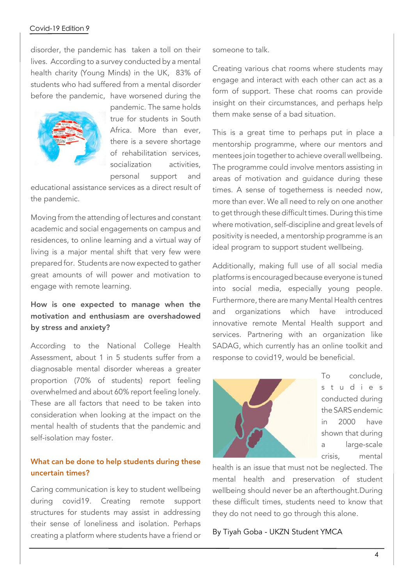### Covid-19 Edition 9

disorder, the pandemic has taken a toll on their lives. According to a survey conducted by a mental health charity (Young Minds) in the UK, 83% of students who had suffered from a mental disorder before the pandemic, have worsened during the



pandemic. The same holds true for students in South Africa. More than ever, there is a severe shortage of rehabilitation services, socialization activities personal support and

educational assistance services as a direct result of the pandemic.

Moving from the attending of lectures and constant academic and social engagements on campus and residences, to online learning and a virtual way of living is a major mental shift that very few were prepared for. Students are now expected to gather great amounts of will power and motivation to engage with remote learning.

## How is one expected to manage when the motivation and enthusiasm are overshadowed by stress and anxiety?

According to the National College Health Assessment, about 1 in 5 students suffer from a diagnosable mental disorder whereas a greater proportion (70% of students) report feeling overwhelmed and about 60% report feeling lonely. These are all factors that need to be taken into consideration when looking at the impact on the mental health of students that the pandemic and self-isolation may foster.

### What can be done to help students during these uncertain times?

Caring communication is key to student wellbeing during covid19. Creating remote support structures for students may assist in addressing their sense of loneliness and isolation. Perhaps creating a platform where students have a friend or someone to talk.

Creating various chat rooms where students may engage and interact with each other can act as a form of support. These chat rooms can provide insight on their circumstances, and perhaps help them make sense of a bad situation.

This is a great time to perhaps put in place a mentorship programme, where our mentors and mentees join together to achieve overall wellbeing. The programme could involve mentors assisting in areas of motivation and guidance during these times. A sense of togetherness is needed now, more than ever. We all need to rely on one another to get through these difficult times. During this time where motivation, self-discipline and great levels of positivity is needed, a mentorship programme is an ideal program to support student wellbeing.

Additionally, making full use of all social media platforms is encouraged because everyone is tuned into social media, especially young people. Furthermore, there are many Mental Health centres and organizations which have introduced innovative remote Mental Health support and services. Partnering with an organization like SADAG, which currently has an online toolkit and response to covid19, would be beneficial.



To conclude, s t u d i e s conducted during the SARS endemic in 2000 have shown that during a large-scale crisis, mental

health is an issue that must not be neglected. The mental health and preservation of student wellbeing should never be an afterthought.During these difficult times, students need to know that they do not need to go through this alone.

By Tiyah Goba - UKZN Student YMCA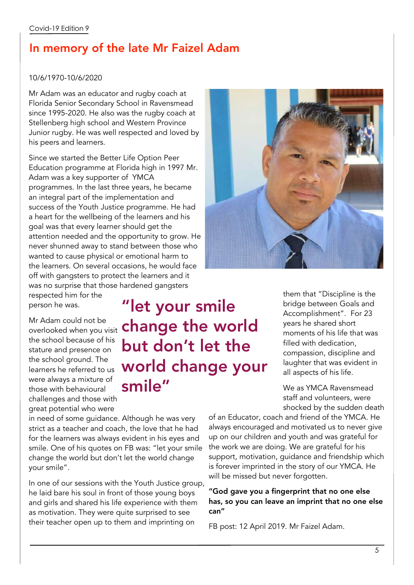## In memory of the late Mr Faizel Adam

### 10/6/1970-10/6/2020

Mr Adam was an educator and rugby coach at Florida Senior Secondary School in Ravensmead since 1995-2020. He also was the rugby coach at Stellenberg high school and Western Province Junior rugby. He was well respected and loved by his peers and learners.

Since we started the Better Life Option Peer Education programme at Florida high in 1997 Mr. Adam was a key supporter of YMCA programmes. In the last three years, he became an integral part of the implementation and success of the Youth Justice programme. He had a heart for the wellbeing of the learners and his goal was that every learner should get the attention needed and the opportunity to grow. He never shunned away to stand between those who wanted to cause physical or emotional harm to the learners. On several occasions, he would face off with gangsters to protect the learners and it was no surprise that those hardened gangsters



respected him for the person he was.

Mr Adam could not be overlooked when you visit the school because of his stature and presence on the school ground. The learners he referred to us were always a mixture of those with behavioural challenges and those with great potential who were

"let your smile change the world but don't let the world change your smile"

in need of some guidance. Although he was very strict as a teacher and coach, the love that he had for the learners was always evident in his eyes and smile. One of his quotes on FB was: "let your smile change the world but don't let the world change your smile".

In one of our sessions with the Youth Justice group, he laid bare his soul in front of those young boys and girls and shared his life experience with them as motivation. They were quite surprised to see their teacher open up to them and imprinting on

them that "Discipline is the bridge between Goals and Accomplishment". For 23 years he shared short moments of his life that was filled with dedication, compassion, discipline and laughter that was evident in all aspects of his life.

We as YMCA Ravensmead staff and volunteers, were shocked by the sudden death

of an Educator, coach and friend of the YMCA. He always encouraged and motivated us to never give up on our children and youth and was grateful for the work we are doing. We are grateful for his support, motivation, guidance and friendship which is forever imprinted in the story of our YMCA. He will be missed but never forgotten.

"God gave you a fingerprint that no one else has, so you can leave an imprint that no one else can"

FB post: 12 April 2019. Mr Faizel Adam.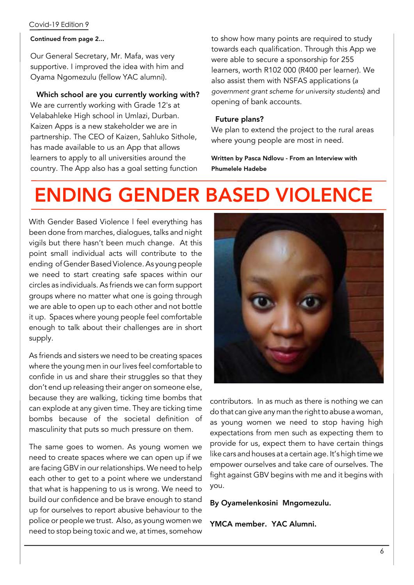### Covid-19 Edition 9

#### Continued from page 2...

Our General Secretary, Mr. Mafa, was very supportive. I improved the idea with him and Oyama Ngomezulu (fellow YAC alumni).

### Which school are you currently working with?

We are currently working with Grade 12's at Velabahleke High school in Umlazi, Durban. Kaizen Apps is a new stakeholder we are in partnership. The CEO of Kaizen, Sahluko Sithole, has made available to us an App that allows learners to apply to all universities around the country. The App also has a goal setting function to show how many points are required to study towards each qualification. Through this App we were able to secure a sponsorship for 255 learners, worth R102 000 (R400 per learner). We also assist them with NSFAS applications (*a government grant scheme for university students*) and opening of bank accounts.

#### Future plans?

We plan to extend the project to the rural areas where young people are most in need.

Written by Pasca Ndlovu - From an Interview with Phumelele Hadebe

# ENDING GENDER BASED VIOLENCE

With Gender Based Violence l feel everything has been done from marches, dialogues, talks and night vigils but there hasn't been much change. At this point small individual acts will contribute to the ending of Gender Based Violence.As young people we need to start creating safe spaces within our circles as individuals. As friends we can form support groups where no matter what one is going through we are able to open up to each other and not bottle it up. Spaces where young people feel comfortable enough to talk about their challenges are in short supply.

As friends and sisters we need to be creating spaces where the young men in our lives feel comfortable to confide in us and share their struggles so that they don't end up releasing their anger on someone else, because they are walking, ticking time bombs that can explode at any given time. They are ticking time bombs because of the societal definition of masculinity that puts so much pressure on them.

The same goes to women. As young women we need to create spaces where we can open up if we are facing GBV in our relationships. We need to help each other to get to a point where we understand that what is happening to us is wrong. We need to build our confidence and be brave enough to stand up for ourselves to report abusive behaviour to the police or people we trust. Also, as young women we need to stop being toxic and we, at times, somehow



contributors. In as much as there is nothing we can do that can give any man the right to abuse a woman, as young women we need to stop having high expectations from men such as expecting them to provide for us, expect them to have certain things like cars and houses at a certain age. It's high time we empower ourselves and take care of ourselves. The fight against GBV begins with me and it begins with you.

By Oyamelenkosini Mngomezulu.

YMCA member. YAC Alumni.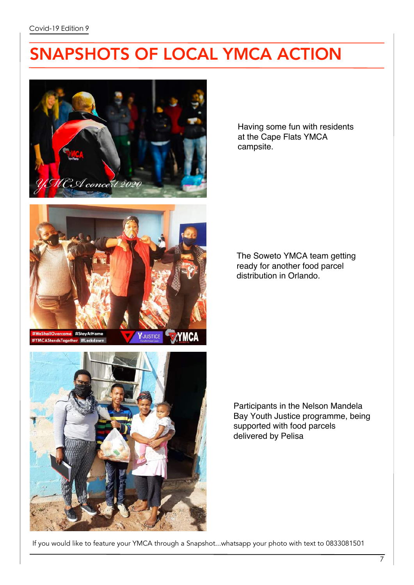# SNAPSHOTS OF LOCAL YMCA ACTION





allOvercome #StayAtHo **MCAStandsTogether**  $H<sub>c</sub>$ 

**XYMCA Y-JUSTICE** 



Having some fun with residents at the Cape Flats YMCA campsite.

The Soweto YMCA team getting ready for another food parcel distribution in Orlando.

Participants in the Nelson Mandela Bay Youth Justice programme, being supported with food parcels delivered by Pelisa

If you would like to feature your YMCA through a Snapshot...whatsapp your photo with text to 0833081501